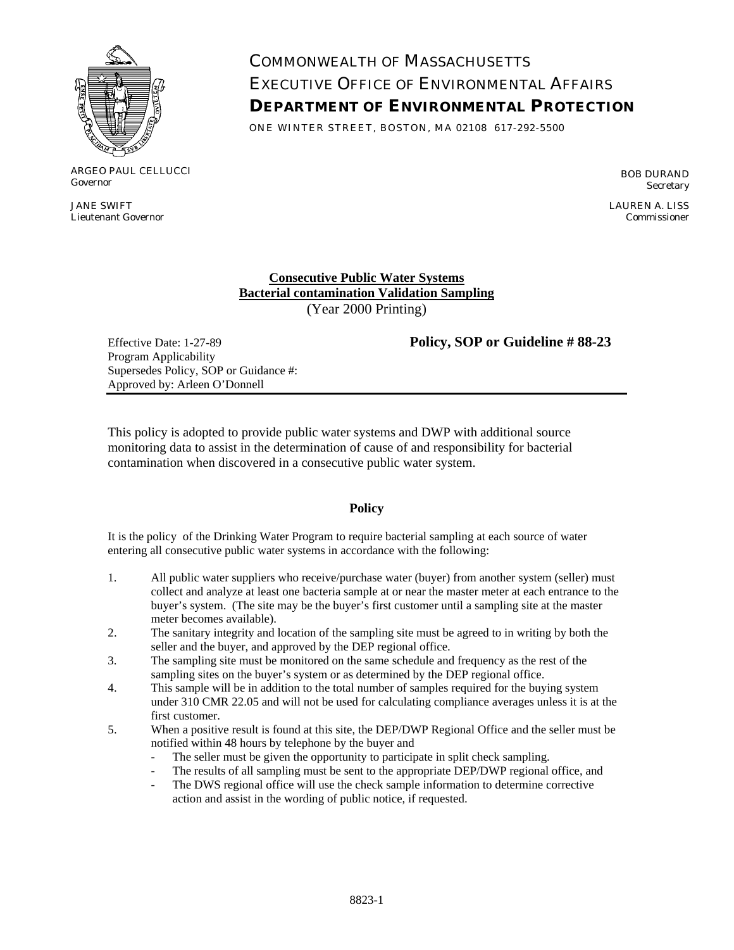

ARGEO PAUL CELLUCCI Governor

JANE SWIFT Lieutenant Governor

## COMMONWEALTH OF MASSACHUSETTS EXECUTIVE OFFICE OF ENVIRONMENTAL AFFAIRS **DEPARTMENT OF ENVIRONMENTAL PROTECTION**

ONE WINTER STREET, BOSTON, MA 02108 617-292-5500

BOB DURAND Secretary

LAUREN A. LISS Commissioner

**Consecutive Public Water Systems Bacterial contamination Validation Sampling** (Year 2000 Printing)

Program Applicability Supersedes Policy, SOP or Guidance #: Approved by: Arleen O'Donnell

Effective Date: 1-27-89 **Policy, SOP or Guideline # 88-23** 

This policy is adopted to provide public water systems and DWP with additional source monitoring data to assist in the determination of cause of and responsibility for bacterial contamination when discovered in a consecutive public water system.

## **Policy**

It is the policy of the Drinking Water Program to require bacterial sampling at each source of water entering all consecutive public water systems in accordance with the following:

- 1. All public water suppliers who receive/purchase water (buyer) from another system (seller) must collect and analyze at least one bacteria sample at or near the master meter at each entrance to the buyer's system. (The site may be the buyer's first customer until a sampling site at the master meter becomes available).
- 2. The sanitary integrity and location of the sampling site must be agreed to in writing by both the seller and the buyer, and approved by the DEP regional office.
- 3. The sampling site must be monitored on the same schedule and frequency as the rest of the sampling sites on the buyer's system or as determined by the DEP regional office.
- 4. This sample will be in addition to the total number of samples required for the buying system under 310 CMR 22.05 and will not be used for calculating compliance averages unless it is at the first customer.
- 5. When a positive result is found at this site, the DEP/DWP Regional Office and the seller must be notified within 48 hours by telephone by the buyer and
	- The seller must be given the opportunity to participate in split check sampling.
	- The results of all sampling must be sent to the appropriate DEP/DWP regional office, and
	- The DWS regional office will use the check sample information to determine corrective action and assist in the wording of public notice, if requested.